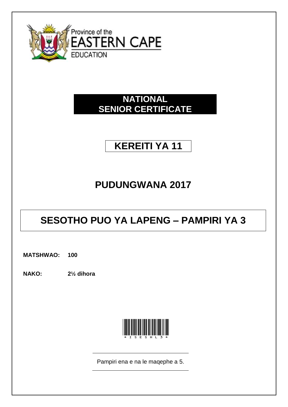

### **NATIONAL SENIOR CERTIFICATE**

# **KEREITI YA 11**

# **PUDUNGWANA 2017**

# **SESOTHO PUO YA LAPENG - PAMPIRI YA 3**

**MATSHWAO:** 100

**NAKO:**  $2\frac{1}{2}$  dihora



Pampiri ena e na le maqephe a 5.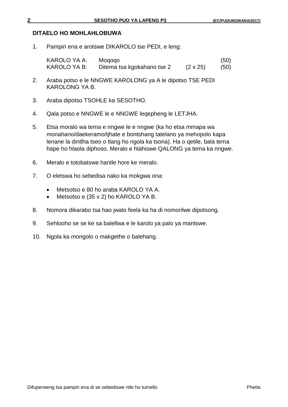### **DITAELO HO MOHLAHLOBUWA**

1. Pampiri ena e arotswe DIKAROLO tse PEDI, e leng:

| KAROLO YA A: | Mogogo                     |                 | (50) |
|--------------|----------------------------|-----------------|------|
| KAROLO YA B: | Ditema tsa kgokahano tse 2 | $(2 \times 25)$ | (50) |

- 2. Araba potso e le NNGWE KAROLONG ya A le dipotso TSE PEDI KAROLONG YA B.
- 3. Araba dipotso TSOHLE ka SESOTHO.
- 4. Qala potso e NNGWE le e NNGWE leqepheng le LETJHA.
- 5. Etsa moralo wa tema e nngwe le e nngwe (ka ho etsa mmapa wa monahano/daekeramo/tjhate e bontshang tatelano ya mehopolo kapa lenane la dintlha tseo o tlang ho ngola ka tsona). Ha o qetile, bala tema hape ho hlaola diphoso. Meralo e hlahiswe QALONG ya tema ka nngwe.
- 6. Meralo e totobatswe hantle hore ke meralo.
- 7. O eletswa ho sebedisa nako ka mokgwa ona:
	- Metsotso e 80 ho araba KAROLO YA A.
	- Metsotso e (35 x 2) ho KAROLO YA B.
- 8. Nomora dikarabo tsa hao jwalo feela ka ha di nomorilwe dipotsong.
- 9. Sehlooho se se ke sa balellwa e le karolo ya palo ya mantswe.
- 10. Ngola ka mongolo o makgethe o balehang.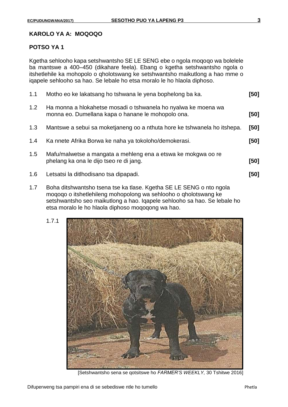#### **KAROLO YA A: MOQOQO**

#### **POTSO YA 1**

Kgetha sehlooho kapa setshwantsho SE LE SENG ebe o ngola moqoqo wa bolelele ba mantswe a 400–450 (dikahare feela). Ebang o kgetha setshwantsho ngola o itshetlehile ka mohopolo o qholotswang ke setshwantsho maikutlong a hao mme o iqapele sehlooho sa hao. Se lebale ho etsa moralo le ho hlaola diphoso.

| 1.1 | Motho eo ke lakatsang ho tshwana le yena bophelong ba ka.                                                            | [50] |
|-----|----------------------------------------------------------------------------------------------------------------------|------|
| 1.2 | Ha monna a hlokahetse mosadi o tshwanela ho nyalwa ke moena wa<br>monna eo. Dumellana kapa o hanane le mohopolo ona. | [50] |
| 1.3 | Mantswe a sebui sa moketjaneng oo a nthuta hore ke tshwanela ho itshepa.                                             | [50] |
| 1.4 | Ka nnete Afrika Borwa ke naha ya tokoloho/demokerasi.                                                                | [50] |
| 1.5 | Mafu/malwetse a mangata a mehleng ena a etswa ke mokgwa oo re<br>phelang ka ona le dijo tseo re di jang.             | [50] |
| 1.6 | Letsatsi la ditlhodisano tsa dipapadi.                                                                               | [50] |
|     |                                                                                                                      |      |

1.7 Boha ditshwantsho tsena tse ka tlase. Kgetha SE LE SENG o nto ngola moqoqo o itshetlehileng mohopolong wa sehlooho o qholotswang ke setshwantsho seo maikutlong a hao. Iqapele sehlooho sa hao. Se lebale ho etsa moralo le ho hlaola diphoso moqoqong wa hao.



[Setshwantsho sena se qotsitswe ho *FARMER'S WEEKLY,* 30 Tshitwe 2016]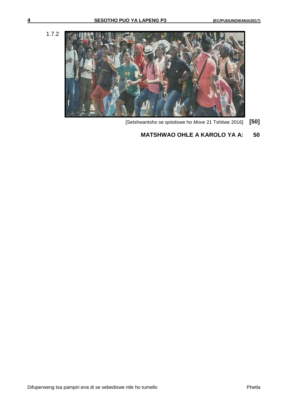1.7.2



[Setshwantsho se qotsitswe ho *Move* 21 Tshitwe 2016] **[50]**

### **MATSHWAO OHLE A KAROLO YA A: 50**